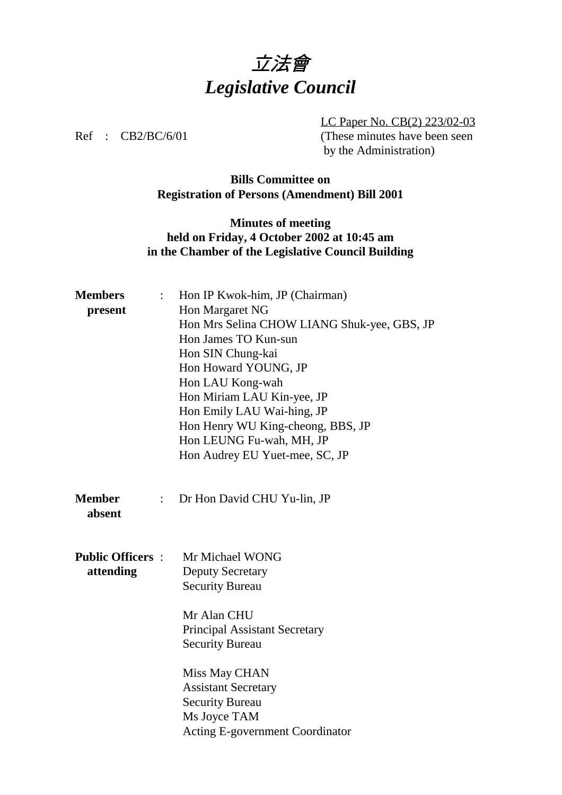

LC Paper No. CB(2) 223/02-03 Ref : CB2/BC/6/01 (These minutes have been seen by the Administration)

#### **Bills Committee on Registration of Persons (Amendment) Bill 2001**

## **Minutes of meeting held on Friday, 4 October 2002 at 10:45 am in the Chamber of the Legislative Council Building**

| <b>Members</b>          | $\ddot{\cdot}$ | Hon IP Kwok-him, JP (Chairman)              |
|-------------------------|----------------|---------------------------------------------|
| present                 |                | Hon Margaret NG                             |
|                         |                | Hon Mrs Selina CHOW LIANG Shuk-yee, GBS, JP |
|                         |                | Hon James TO Kun-sun                        |
|                         |                | Hon SIN Chung-kai                           |
|                         |                | Hon Howard YOUNG, JP                        |
|                         |                | Hon LAU Kong-wah                            |
|                         |                | Hon Miriam LAU Kin-yee, JP                  |
|                         |                | Hon Emily LAU Wai-hing, JP                  |
|                         |                | Hon Henry WU King-cheong, BBS, JP           |
|                         |                | Hon LEUNG Fu-wah, MH, JP                    |
|                         |                | Hon Audrey EU Yuet-mee, SC, JP              |
|                         |                |                                             |
| <b>Member</b><br>absent | $\ddot{\cdot}$ | Dr Hon David CHU Yu-lin, JP                 |
|                         |                |                                             |
| <b>Public Officers:</b> |                | Mr Michael WONG                             |
| attending               |                | <b>Deputy Secretary</b>                     |
|                         |                | <b>Security Bureau</b>                      |
|                         |                | Mr Alan CHU                                 |
|                         |                | <b>Principal Assistant Secretary</b>        |
|                         |                | <b>Security Bureau</b>                      |
|                         |                | Miss May CHAN                               |
|                         |                | <b>Assistant Secretary</b>                  |
|                         |                | <b>Security Bureau</b>                      |
|                         |                | Ms Joyce TAM                                |
|                         |                | Acting E-government Coordinator             |
|                         |                |                                             |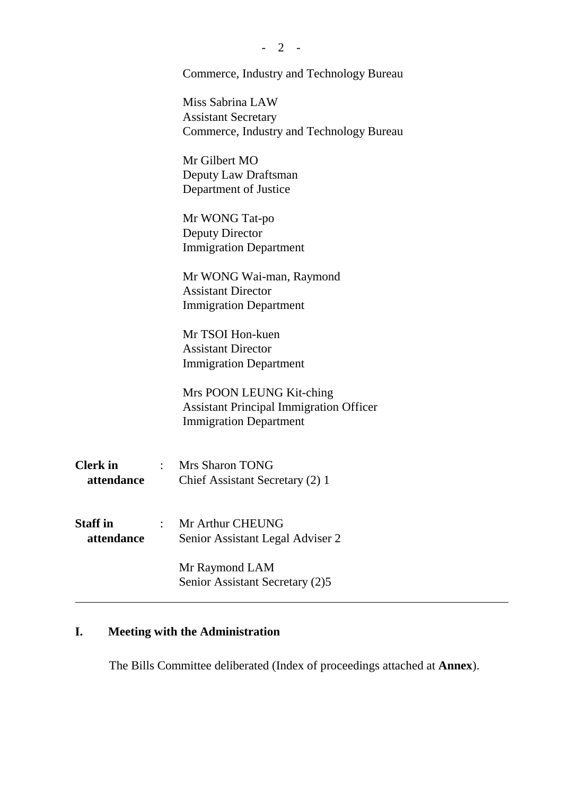|                 | Commerce, Industry and Technology Bureau       |
|-----------------|------------------------------------------------|
|                 | Miss Sabrina LAW                               |
|                 | <b>Assistant Secretary</b>                     |
|                 | Commerce, Industry and Technology Bureau       |
|                 | Mr Gilbert MO                                  |
|                 | Deputy Law Draftsman                           |
|                 | Department of Justice                          |
|                 | Mr WONG Tat-po                                 |
|                 | Deputy Director                                |
|                 | <b>Immigration Department</b>                  |
|                 | Mr WONG Wai-man, Raymond                       |
|                 | <b>Assistant Director</b>                      |
|                 | <b>Immigration Department</b>                  |
|                 | Mr TSOI Hon-kuen                               |
|                 | <b>Assistant Director</b>                      |
|                 | <b>Immigration Department</b>                  |
|                 | Mrs POON LEUNG Kit-ching                       |
|                 | <b>Assistant Principal Immigration Officer</b> |
|                 | <b>Immigration Department</b>                  |
| <b>Clerk</b> in | : Mrs Sharon TONG                              |
| attendance      | Chief Assistant Secretary (2) 1                |
|                 |                                                |
| <b>Staff</b> in | Mr Arthur CHEUNG                               |
| attendance      | Senior Assistant Legal Adviser 2               |
|                 | Mr Raymond LAM                                 |
|                 | Senior Assistant Secretary (2)5                |

# **I. Meeting with the Administration**

The Bills Committee deliberated (Index of proceedings attached at **Annex**).

- 2 -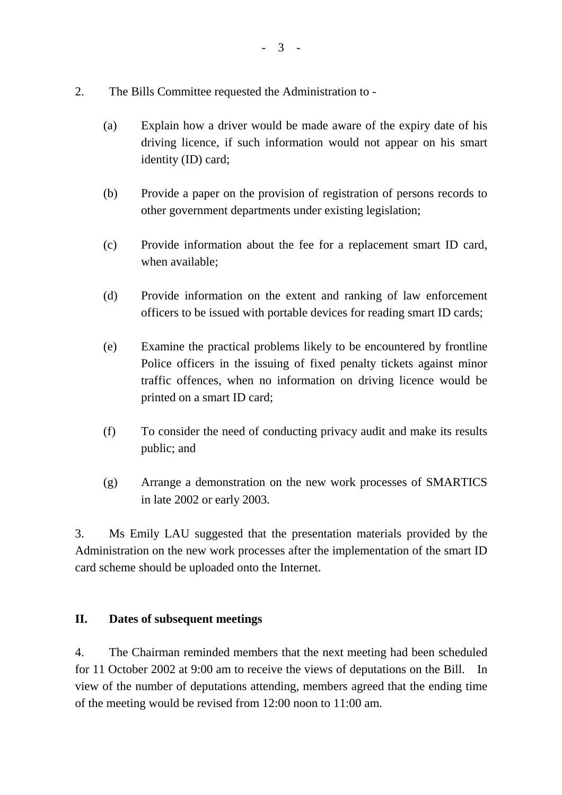- 2. The Bills Committee requested the Administration to
	- (a) Explain how a driver would be made aware of the expiry date of his driving licence, if such information would not appear on his smart identity (ID) card;
	- (b) Provide a paper on the provision of registration of persons records to other government departments under existing legislation;
	- (c) Provide information about the fee for a replacement smart ID card, when available;
	- (d) Provide information on the extent and ranking of law enforcement officers to be issued with portable devices for reading smart ID cards;
	- (e) Examine the practical problems likely to be encountered by frontline Police officers in the issuing of fixed penalty tickets against minor traffic offences, when no information on driving licence would be printed on a smart ID card;
	- (f) To consider the need of conducting privacy audit and make its results public; and
	- (g) Arrange a demonstration on the new work processes of SMARTICS in late 2002 or early 2003.

3. Ms Emily LAU suggested that the presentation materials provided by the Administration on the new work processes after the implementation of the smart ID card scheme should be uploaded onto the Internet.

#### **II. Dates of subsequent meetings**

4. The Chairman reminded members that the next meeting had been scheduled for 11 October 2002 at 9:00 am to receive the views of deputations on the Bill. In view of the number of deputations attending, members agreed that the ending time of the meeting would be revised from 12:00 noon to 11:00 am.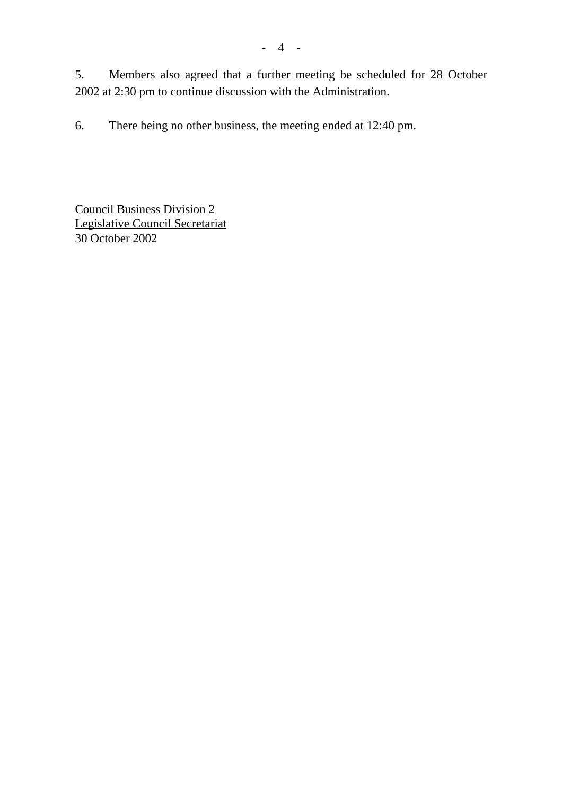- 4 -

6. There being no other business, the meeting ended at 12:40 pm.

2002 at 2:30 pm to continue discussion with the Administration.

Council Business Division 2 Legislative Council Secretariat 30 October 2002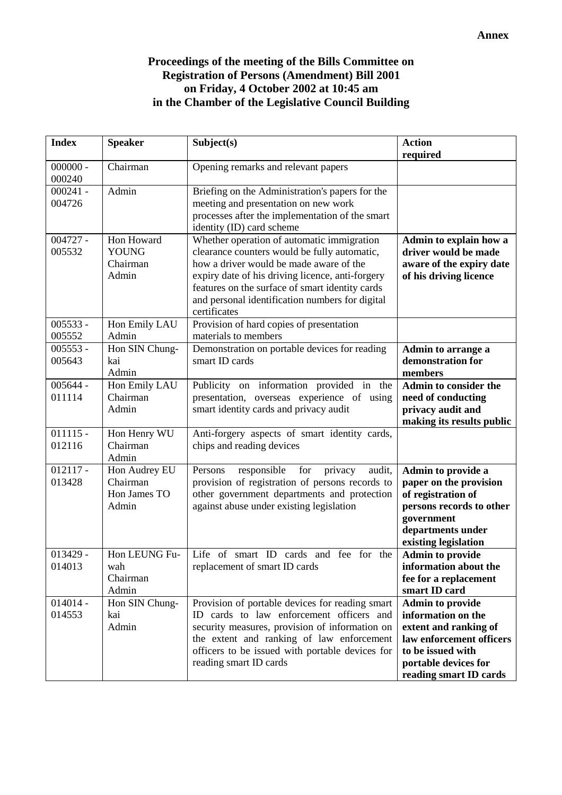## **Proceedings of the meeting of the Bills Committee on Registration of Persons (Amendment) Bill 2001 on Friday, 4 October 2002 at 10:45 am in the Chamber of the Legislative Council Building**

| <b>Index</b>         | <b>Speaker</b>                                     | Subject(s)                                                                                                                                                                                                                                                                                                      | <b>Action</b><br>required                                                                                                                                                 |
|----------------------|----------------------------------------------------|-----------------------------------------------------------------------------------------------------------------------------------------------------------------------------------------------------------------------------------------------------------------------------------------------------------------|---------------------------------------------------------------------------------------------------------------------------------------------------------------------------|
| $000000 -$<br>000240 | Chairman                                           | Opening remarks and relevant papers                                                                                                                                                                                                                                                                             |                                                                                                                                                                           |
| $000241 -$<br>004726 | Admin                                              | Briefing on the Administration's papers for the<br>meeting and presentation on new work<br>processes after the implementation of the smart<br>identity (ID) card scheme                                                                                                                                         |                                                                                                                                                                           |
| $004727 -$<br>005532 | Hon Howard<br><b>YOUNG</b><br>Chairman<br>Admin    | Whether operation of automatic immigration<br>clearance counters would be fully automatic,<br>how a driver would be made aware of the<br>expiry date of his driving licence, anti-forgery<br>features on the surface of smart identity cards<br>and personal identification numbers for digital<br>certificates | Admin to explain how a<br>driver would be made<br>aware of the expiry date<br>of his driving licence                                                                      |
| $005533 -$<br>005552 | Hon Emily LAU<br>Admin                             | Provision of hard copies of presentation<br>materials to members                                                                                                                                                                                                                                                |                                                                                                                                                                           |
| $005553 -$<br>005643 | Hon SIN Chung-<br>kai<br>Admin                     | Demonstration on portable devices for reading<br>smart ID cards                                                                                                                                                                                                                                                 | Admin to arrange a<br>demonstration for<br>members                                                                                                                        |
| $005644 -$<br>011114 | Hon Emily LAU<br>Chairman<br>Admin                 | Publicity on information provided in the<br>presentation, overseas experience of using<br>smart identity cards and privacy audit                                                                                                                                                                                | <b>Admin to consider the</b><br>need of conducting<br>privacy audit and<br>making its results public                                                                      |
| $011115 -$<br>012116 | Hon Henry WU<br>Chairman<br>Admin                  | Anti-forgery aspects of smart identity cards,<br>chips and reading devices                                                                                                                                                                                                                                      |                                                                                                                                                                           |
| $012117 -$<br>013428 | Hon Audrey EU<br>Chairman<br>Hon James TO<br>Admin | responsible<br>for<br>privacy<br>audit,<br>Persons<br>provision of registration of persons records to<br>other government departments and protection<br>against abuse under existing legislation                                                                                                                | Admin to provide a<br>paper on the provision<br>of registration of<br>persons records to other<br>government<br>departments under<br>existing legislation                 |
| $013429 -$<br>014013 | Hon LEUNG Fu-<br>wah<br>Chairman<br>Admin          | Life of smart ID cards and fee for the<br>replacement of smart ID cards                                                                                                                                                                                                                                         | <b>Admin to provide</b><br>information about the<br>fee for a replacement<br>smart ID card                                                                                |
| $014014 -$<br>014553 | Hon SIN Chung-<br>kai<br>Admin                     | Provision of portable devices for reading smart<br>ID cards to law enforcement officers and<br>security measures, provision of information on<br>the extent and ranking of law enforcement<br>officers to be issued with portable devices for<br>reading smart ID cards                                         | <b>Admin to provide</b><br>information on the<br>extent and ranking of<br>law enforcement officers<br>to be issued with<br>portable devices for<br>reading smart ID cards |